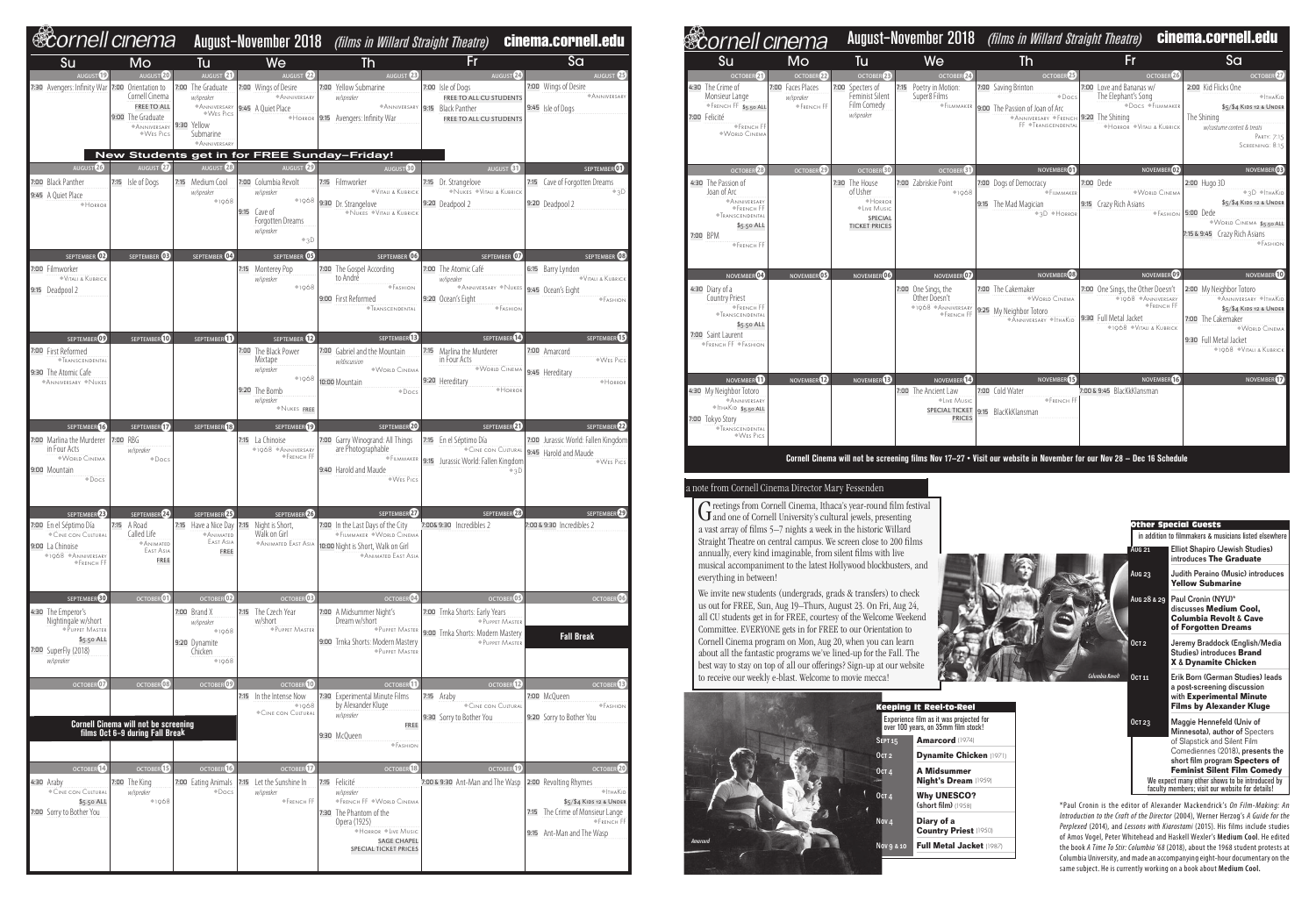| <b>®cornell cinema</b>                                                                                              |                                                                                                               |                                                                                                                                                         |                                                                                                                     |                                                                                                                                                               |                                                                                                             | August-November 2018 (films in Willard Straight Theatre) cinema.cornell.edu                                                              |
|---------------------------------------------------------------------------------------------------------------------|---------------------------------------------------------------------------------------------------------------|---------------------------------------------------------------------------------------------------------------------------------------------------------|---------------------------------------------------------------------------------------------------------------------|---------------------------------------------------------------------------------------------------------------------------------------------------------------|-------------------------------------------------------------------------------------------------------------|------------------------------------------------------------------------------------------------------------------------------------------|
| <b>Su</b>                                                                                                           | Mo                                                                                                            | Tu                                                                                                                                                      | We                                                                                                                  | Th                                                                                                                                                            | Fr                                                                                                          | Sa                                                                                                                                       |
| AUGUST <sup>19</sup><br>7:30 Avengers: Infinity War 7:00 Orientation to                                             | AUGUST <sup>20</sup><br>Cornell Cinema<br><b>FREE TO ALL</b><br>9:00 The Graduate<br>ANNIVERSARY<br>◆WES Pics | AUGUST $\overline{a}$<br>7:00 The Graduate<br>w/speaker<br>ANNIVERSARY 9:45 A Quiet Place<br>WES PICS<br>9:30 Yellow<br>Submarine<br><b>ANNIVERSARY</b> | AUGUST <sup>22</sup><br>7:00 Wings of Desire<br><b>ANNIVERSARY</b>                                                  | AUGUST <sup>23</sup><br>7:00 Yellow Submarine<br>w/speaker<br>ANNIVERSARY 9:15 Black Panther<br>*HORROR 9:15 Avengers: Infinity War                           | AUGUST <sup>24</sup><br>7:00 Isle of Dogs<br>FREE TO ALL CU STUDENTS<br>FREE TO ALL CU STUDENTS             | AUGUST <sup>25</sup><br>7:00 Wings of Desire<br>ANNIVERSARY<br>9:45 Isle of Dogs                                                         |
|                                                                                                                     |                                                                                                               |                                                                                                                                                         | New Students get in for FREE Sunday-Friday!                                                                         |                                                                                                                                                               |                                                                                                             |                                                                                                                                          |
| AUGUST <sup>26</sup><br>7:00 Black Panther<br>9:45 A Quiet Place<br>$\triangle$ Horror                              | AUGUST <sup>27</sup><br>7:15 Isle of Dogs                                                                     | AUGUST <sup>28</sup><br>7:15 Medium Cool<br>w/speaker<br>$*1968$                                                                                        | AUGUST <sup>29</sup><br>7:00 Columbia Revolt<br>w/speaker<br>9:15 $Cave of$<br>Forgotten Dreams<br>w/speaker<br>+3D | AUGUST <sup>60</sup><br>7:15 Filmworker<br>VITALI & KUBRICK<br>1968 9:30 Dr. Strangelove<br>NUKES VITALI & KUBRICK                                            | AUGUST <sup>61</sup><br>7:15 Dr. Strangelove<br>NUKES VITALI & KUBRICK<br>9:20 Deadpool 2                   | SEPTEMBER <sup>01</sup><br>7:15 Cave of Forgotten Dreams<br>$*3D$<br>9:20 Deadpool 2                                                     |
| SEPTEMBER <sup>02</sup>                                                                                             | SEPTEMBER <b>OB</b>                                                                                           | SEPTEMBER <sup>04</sup>                                                                                                                                 | SEPTEMBER 05                                                                                                        | SEPTEMBER 03                                                                                                                                                  | SEPTEMBER 07                                                                                                | SEPTEMBER 08                                                                                                                             |
| 7:00 Filmworker<br>VITALI & KUBRICK<br>9:15 Deadpool 2                                                              |                                                                                                               |                                                                                                                                                         | 7:15 Monterey Pop<br>w/speaker<br>$*1968$                                                                           | 7:00 The Gospel According<br>to André<br><b>◆FASHION</b><br>9:00 First Reformed<br><b><i><del>•</del>Transcendental</i></b>                                   | 7:00 The Atomic Café<br>w/speaker<br>$*$ Anniversary $*$ Nukes<br>9:20 Ocean's Eight<br>F <sub>ASHION</sub> | 6:15 Barry Lyndon<br>VITALI & KUBRICK<br>9:45 Ocean's Eight<br>$\blacklozenge$ Fashion                                                   |
| SEPTEMBER <sup>09</sup>                                                                                             | SEPTEMBER <sup>10</sup>                                                                                       | SEPTEMBER <sup>1</sup>                                                                                                                                  | SEPTEMBER <sup>12</sup>                                                                                             | SEPTEMBER <sup>13</sup>                                                                                                                                       | SEPTEMBER <sup>14</sup>                                                                                     | SEPTEMBER <sup>15</sup>                                                                                                                  |
| 7:00 First Reformed<br><b><i><del>•</del>TRANSCENDENTAL</i></b><br>9:30 The Atomic Cafe<br><b>ANNIVERSARY NUKES</b> |                                                                                                               |                                                                                                                                                         | 7:00 The Black Power<br>Mixtape<br>w/speaker<br>$*1968$<br>9:20 The Bomb<br>w/speaker<br>NUKES FREE                 | 7:00 Gabriel and the Mountain<br>w/discussion<br><b>WORLD CINEMA</b><br>10:00 Mountain<br>$\bullet$ Docs                                                      | 7:15 Marlina the Murderer<br>in Four Acts<br>$W$ Orld Cinema<br>9:20 Hereditary<br>$\blacklozenge$ Horror   | 7:00 Amarcord<br>◆WES Pics<br>9:45 Hereditary<br>+HORROR                                                                                 |
| SEPTEMBER <sup>13</sup>                                                                                             | SEPTEMBER <sup>1</sup>                                                                                        | SEPTEMBER <sup>13</sup>                                                                                                                                 | SEPTEMBER <sup>19</sup>                                                                                             | SEPTEMBER 20                                                                                                                                                  | SEPTEMBER 21                                                                                                | SEPTEMBER <sup>22</sup>                                                                                                                  |
| 7:00 Marlina the Murderer 7:00 RBG<br>in Four Acts<br><b>WORLD CINEMA</b><br>9:00 Mountain<br>$\bullet$ Docs        | w/speaker<br>$\triangle$ Docs                                                                                 |                                                                                                                                                         | 7:15 La Chinoise<br>◆1968 ◆ ANNIVERSARY<br>◆FRENCH FF                                                               | 7:00 Garry Winogrand: All Things<br>are Photographable<br>FILMMAKER<br>9:40 Harold and Maude<br>WES PICS                                                      | 7:15 En el Séptimo Día<br>9:15 Jurassic World: Fallen Kingdom<br>$*3D$                                      | 7:00 Jurassic World: Fallen Kingdom<br>CINE CON CULTURAL 9:45 Harold and Maude<br>◆WES Pics                                              |
| SEPTEMBER <sup>23</sup>                                                                                             | SEPTEMBER 24                                                                                                  | SEPTEMBER <sup>23</sup>                                                                                                                                 | SEPTEMBER <sup>26</sup>                                                                                             | SEPTEMBER <sup>27</sup>                                                                                                                                       | SEPTEMBER <sup>28</sup>                                                                                     | SEPTEMBER <sup>29</sup>                                                                                                                  |
| 7:00 En el Séptimo Día<br>CINE CON CULTURAL<br>9:00 La Chinoise<br>◆1968 ◆ ANNIVERSARY<br><b>◆FRENCH FF</b>         | 7:15 A Road<br>Called Life<br><b>ANIMATED</b><br>EAST ASIA<br><b>FREE</b>                                     | 7:15 Have a Nice Day 7:15 Night is Short,<br><b>ANIMATED</b><br>EAST ASIA<br><b>FREE</b>                                                                | Walk on Girl<br><b>ANIMATED EAST ASIA</b>                                                                           | 7:00 In the Last Days of the City<br>*FILMMAKER *WORLD CINEMA<br>10:00 Night is Short, Walk on Girl<br><b>ANIMATED EAST ASIA</b>                              | 7:00& 9:30 Incredibles 2                                                                                    | 7:00 & 9:30 Incredibles 2                                                                                                                |
| SEPTEMBER <sup>30</sup><br>4:30 The Emperor's                                                                       | OCTOBER <sup>01</sup>                                                                                         | OCTOBER <sup>02</sup><br>7:00 Brand X                                                                                                                   | OCTOBER <sup>03</sup><br>7:15 The Czech Year                                                                        | OCTOBER <sup>04</sup><br>7:00 A Midsummer Night's                                                                                                             | OCTOBER <sup>OS</sup><br>7:00 Trnka Shorts: Early Years                                                     | OCTOBER <sup>06</sup>                                                                                                                    |
| Nightingale w/short<br>*PUPPET MASTER<br>$$5.50$ ALL<br>7:00 SuperFly (2018)<br>w/speaker                           |                                                                                                               | w/speaker<br>◆1968<br>9:20 Dynamite<br>Chicken<br>$*1968$                                                                                               | w/short<br>*PUPPET MASTER                                                                                           | Dream w/short<br>*PUPPET MASTER<br>9:00 Trnka Shorts: Modern Mastery<br>*PUPPET MASTER                                                                        | *PUPPET MASTER<br>9:00 Trnka Shorts: Modern Mastery<br>*PUPPET MASTER                                       | <b>Fall Break</b>                                                                                                                        |
| OCTOBER <sup>07</sup>                                                                                               | OCTOBER <sup>08</sup>                                                                                         | OCTOBER <sup>09</sup>                                                                                                                                   | OCTOBER <sup>10</sup><br>7:15 In the Intense Now                                                                    | $\overline{\text{OCTOBER}}$<br>7:30 Experimental Minute Films                                                                                                 | $OCTOBER$ <sup>2</sup><br>7:15 Araby                                                                        | OCTOBER <sup>13</sup><br>7:00 McQueen                                                                                                    |
|                                                                                                                     | <b>Cornell Cinema will not be screening</b><br>films Oct 6-9 during Fall Break                                |                                                                                                                                                         | $*1968$<br>CINE CON CULTURAL                                                                                        | by Alexander Kluge<br>w/speaker<br><b>FREE</b><br>9:30 McQueen<br><b>EASHION</b>                                                                              | CINE CON CULTURAL<br>9:30 Sorry to Bother You                                                               | F <sub>ASHION</sub><br>9:20 Sorry to Bother You                                                                                          |
| OCTOBER <sup>14</sup><br>4:30 Araby                                                                                 | OCTOBER<br>7:00 The King                                                                                      | OCTOBER <sup>16</sup><br>7:00 Eating Animals                                                                                                            | <b>OCTOBERTA</b><br>7:15 Let the Sunshine In                                                                        | OCTOBER <sup>13</sup><br>7:15 Felicité                                                                                                                        | OCTOBER <sup>19</sup><br>7:00 & 9:30 Ant-Man and The Wasp                                                   | OCTOBER <sup>20</sup><br>2:00 Revolting Rhymes                                                                                           |
| CINE CON CULTURAL<br>\$5.50 ALL<br>7:00 Sorry to Bother You                                                         | w/speaker<br>$*1968$                                                                                          | $\triangle$ Docs                                                                                                                                        | w/speaker<br><b>◆FRENCH FF</b>                                                                                      | w/speaker<br>◆FRENCH FF ◆WORLD CINEMA<br>7:30 The Phantom of the<br>Opera (1925)<br>*HORROR *LIVE MUSIC<br><b>SAGE CHAPEL</b><br><b>SPECIAL TICKET PRICES</b> |                                                                                                             | $\triangleq$ Tha $K$ id<br>\$5/\$4 KIDS 12 & UNDER<br>7:15 The Crime of Monsieur Lange<br><b>◆FRENCH FF</b><br>9:15 Ant-Man and The Wasp |

| <u> Scornell cinema</u>                                                                                                                                                              |                                                                       |                                                                                                                  |                                                                                                            | <b>August-November 2018</b> (films in Willard Straight Theatre)                                                                                                               | cinema.cornell.edu                                                                                                                                          |                                                                                                                                                                                                       |
|--------------------------------------------------------------------------------------------------------------------------------------------------------------------------------------|-----------------------------------------------------------------------|------------------------------------------------------------------------------------------------------------------|------------------------------------------------------------------------------------------------------------|-------------------------------------------------------------------------------------------------------------------------------------------------------------------------------|-------------------------------------------------------------------------------------------------------------------------------------------------------------|-------------------------------------------------------------------------------------------------------------------------------------------------------------------------------------------------------|
| Su                                                                                                                                                                                   | Mo                                                                    | Tu                                                                                                               | We                                                                                                         | <b>Th</b>                                                                                                                                                                     | Fr                                                                                                                                                          | Sa                                                                                                                                                                                                    |
| OCTOBER <sup>21</sup><br>4:30 The Crime of<br>Monsieur Lange<br>FRENCH FF \$5.50 ALL<br>7:00 Felicité<br><b>*FRENCH FF</b><br><b>WORLD CINEMA</b>                                    | OCTOBER <sup>22</sup><br>7:00 Faces Places<br>w/speaker<br>◆FRENCH FF | OCTOBER <sup>23</sup><br>7:00 Specters of<br>Feminist Silent<br>Film Comedy<br>w/speaker                         | OCTOBER <sup>2</sup><br>7:15 Poetry in Motion:<br>Super8 Films<br>$F$ ILMMAKER                             | OCTOBER <sup>25</sup><br>7:00 Saving Brinton<br>$\triangle$ Docs<br>9:00 The Passion of Joan of Arc<br>ANNIVERSARY <b>FRENCH</b> 9:20 The Shining<br>FF <i>TRANSCENDENTAL</i> | OCTOBER <sup>26</sup><br>7:00 Love and Bananas w/<br>The Elephant's Song<br><b><i>*Docs *FILMMAKER</i></b><br>+HORROR +VITALI & KUBRICK                     | OCTOBER <sup>27</sup><br>2:00 Kid Flicks One<br>$\triangleq$ Tha $K$ id<br>\$5/\$4 KIDS 12 & UNDER<br>The Shining<br>w/costume contest & treats<br>PARTY: 7:15<br>Screening: 8:15                     |
| OCTOBER <sup>28</sup><br>4:30 The Passion of<br>Joan of Arc<br>ANNIVERSARY<br>◆FRENCH FF<br><b><i><del>•T</del>RANSCENDENTAL</i></b><br>$$5.50$ ALL<br>7:00 BPM<br><b>◆FRENCH FF</b> | OCTOBER <sup>29</sup>                                                 | OCTOBER <sup>30</sup><br>7:30 The House<br>of Usher<br>*HORROR<br>*Live Music<br>SPECIAL<br><b>TICKET PRICES</b> | OCTOBER <sup>31</sup><br>7:00 Zabriskie Point<br>$*1968$                                                   | NOVEMBER <sup>01</sup><br>7:00 Dogs of Democracy<br>$F_{\text{ILMMAKER}}$<br>9:15 The Mad Magician<br>◆3D → HORROR                                                            | NOVEMBER <sup>02</sup><br>7:00 Dede<br><b>WORLD CINEMA</b><br>9:15 Crazy Rich Asians                                                                        | NOVEMBER <sup>03</sup><br>2:00 Hugo 3D<br>$*3D * ITHAKID$<br>\$5/\$4 KIDS 12 & UNDER<br>FASHION 5:00 Dede<br>WORLD CINEMA \$5.50 ALL<br>7:15 & 9:45 Crazy Rich Asians<br>$\blacklozenge$ Fashion      |
| NOVEMBER <sup>04</sup><br>4:30 Diary of a<br><b>Country Priest</b><br>◆FRENCH FF<br><b><i>NRANSCENDENTAL</i></b><br>$$5.50$ ALL<br>7:00 Saint Laurent<br>◆ FRENCH FF ◆ FASHION       | NOVEMBER <sup>05</sup>                                                | NOVEMBER <sup>06</sup>                                                                                           | NOVEMBER <sup>07</sup><br>7:00 One Sings, the<br>Other Doesn't<br>◆1968 ◆ ANNIVERSARY<br><b>◆FRENCH FF</b> | NOVEMBER <sup>08</sup><br>7:00 The Cakemaker<br><b>WORLD CINEMA</b><br>9:25 My Neighbor Totoro<br>ANNIVERSARY <i>ITHAKID</i>                                                  | NOVEMBER <sup>09</sup><br>7:00 One Sings, the Other Doesn't<br>+1968 +ANNIVERSARY<br><b>◆FRENCH FF</b><br>9:30 Full Metal Jacket<br>◆1968 ◆VITALI & KUBRICK | NOVEMBER <sup>10</sup><br>2:00 My Neighbor Totoro<br>ANNIVERSARY ITHAKID<br>\$5/\$4 KIDS 12 & UNDER<br>7:00 The Cakemaker<br><b>WORLD CINEMA</b><br>9:30 Full Metal Jacket<br>◆1968 ◆Vitali & Kubrick |
| NOVEMBER <sup>1</sup><br>4:30 My Neighbor Totoro<br>ANNIVERSARY<br>$\triangle$ THAKID \$5.50 ALL<br>7:00 Tokyo Story<br><b><i>*Transcendental</i></b><br>◆WES Pics                   | NOVEMBER <sup>2</sup>                                                 | NOVEMBER <sup>B</sup>                                                                                            | NOVEMBER <sup>(2)</sup><br>7:00 The Ancient Law<br><b>*Live Music</b><br><b>PRICES</b>                     | NOVEMBER <sup>13</sup><br>7:00 Cold Water<br><b>◆FRENCH FF</b><br>SPECIAL TICKET 9:15 BlacKkKlansman                                                                          | NOVEMBER <sup>16</sup><br>7:00 & 9:45 BlacKkKlansman                                                                                                        | NOVEMBER <sup>17</sup>                                                                                                                                                                                |

|                                                                                                   | in addition to filmmakers & musicians listed elsewhere                                                                                                                                                  |  |  |  |  |  |
|---------------------------------------------------------------------------------------------------|---------------------------------------------------------------------------------------------------------------------------------------------------------------------------------------------------------|--|--|--|--|--|
| Aug 21                                                                                            | <b>Elliot Shapiro (Jewish Studies)</b><br>introduces The Graduate                                                                                                                                       |  |  |  |  |  |
| <b>Aug 23</b>                                                                                     | Judith Peraino (Music) introduces<br><b>Yellow Submarine</b>                                                                                                                                            |  |  |  |  |  |
| Aug 28 & 29                                                                                       | Paul Cronin (NYU)*<br>discusses <b>Medium Cool,</b><br><b>Columbia Revolt &amp; Cave</b><br>of Forgotten Dreams                                                                                         |  |  |  |  |  |
| 0c <sub>T</sub>                                                                                   | Jeremy Braddock (English/Media<br>Studies) introduces <b>Brand</b><br><b>X &amp; Dynamite Chicken</b>                                                                                                   |  |  |  |  |  |
| OCT 11                                                                                            | Erik Born (German Studies) leads<br>a post-screening discussion<br>with Experimental Minute<br><b>Films by Alexander Kluge</b>                                                                          |  |  |  |  |  |
| OCT 23                                                                                            | Maggie Hennefeld (Univ of<br>Minnesota), author of Specters<br>of Slapstick and Silent Film<br>Comediennes (2018), presents the<br>short film program Specters of<br><b>Feminist Silent Film Comedy</b> |  |  |  |  |  |
| We expect many other shows to be introduced by<br>faculty members; visit our website for details! |                                                                                                                                                                                                         |  |  |  |  |  |

 $\bigcap$  reetings from Cornell Cinema, Ithaca's year-round film festival and one of Cornell University's cultural jewels, presenting a vast array of films 5–7 nights a week in the historic Willard Straight Theatre on central campus. We screen close to 200 films annually, every kind imaginable, from silent films with live musical accompaniment to the latest Hollywood blockbusters, and everything in between!

Columbia Revolt



**Cornell Cinema will not be screening films Nov 17—27 • Visit our website in November for our Nov 28 — Dec 16 Schedule**

Other Special Guests

## a note from Cornell Cinema Director Mary Fessenden

We invite new students (undergrads, grads & transfers) to check us out for FREE, Sun, Aug 19–Thurs, August 23. On Fri, Aug 24, all CU students get in for FREE, courtesy of the Welcome Weekend Committee. EVERYONE gets in for FREE to our Orientation to Cornell Cinema program on Mon, Aug 20, when you can learn about all the fantastic programs we've lined-up for the Fall. The best way to stay on top of all our offerings? Sign-up at our website to receive our weekly e-blast. Welcome to movie mecca!

|                      | <b>Keeping It Reel-to-Reel</b>                                                 |
|----------------------|--------------------------------------------------------------------------------|
|                      | Experience film as it was projected for<br>over 100 years, on 35mm film stock! |
| <b>SEPT 15</b>       | <b>Amarcord</b> (1974)                                                         |
| 0cT2                 | <b>Dynamite Chicken (1971)</b>                                                 |
| 0ст 4<br><b>KOTA</b> | <b>A Midsummer</b><br><b>Night's Dream (1959)</b>                              |
| 0cT4                 | <b>Why UNESCO?</b><br>(short film) (1958)                                      |
| Nov <sub>4</sub>     | Diary of a<br><b>Country Priest (1950)</b>                                     |
| Nov 9 & 10           | <b>Full Metal Jacket (1987)</b>                                                |
|                      |                                                                                |

\*Paul Cronin is the editor of Alexander Mackendrick's *On Film-Making: An Introduction to the Craft of the Director* (2004), Werner Herzog's *A Guide for the Perplexed* (2014), and *Lessons with Kiarostami* (2015). His films include studies of Amos Vogel, Peter Whitehead and Haskell Wexler's **Medium Cool**. He edited the book *A Time To Stir: Columbia '68* (2018), about the 1968 student protests at Columbia University, and made an accompanying eight-hour documentary on the same subject. He is currently working on a book about **Medium Cool.**